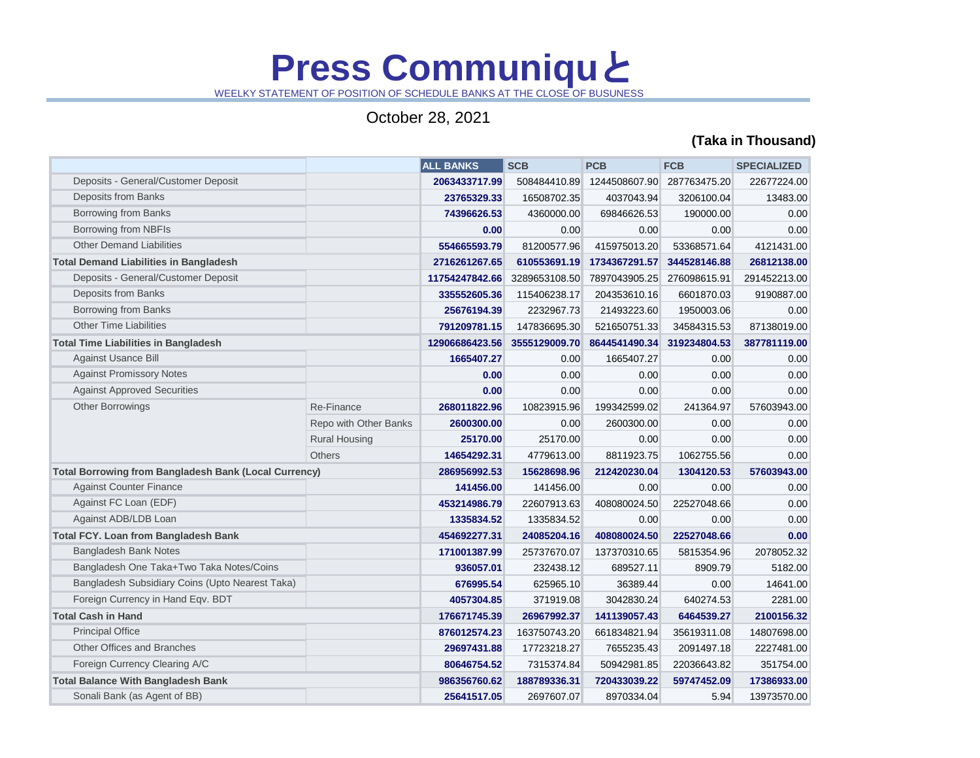## **Press Communiqu**と

WEELKY STATEMENT OF POSITION OF SCHEDULE BANKS AT THE CLOSE OF BUSUNESS

## October 28, 2021

## **(Taka in Thousand)**

|                                                              |                       | <b>ALL BANKS</b> | <b>SCB</b>        | <b>PCB</b>    | <b>FCB</b>   | <b>SPECIALIZED</b> |
|--------------------------------------------------------------|-----------------------|------------------|-------------------|---------------|--------------|--------------------|
| Deposits - General/Customer Deposit                          |                       | 2063433717.99    | 508484410.89      | 1244508607.90 | 287763475.20 | 22677224.00        |
| Deposits from Banks                                          |                       | 23765329.33      | 16508702.35       | 4037043.94    | 3206100.04   | 13483.00           |
| <b>Borrowing from Banks</b>                                  |                       | 74396626.53      | 4360000.00        | 69846626.53   | 190000.00    | 0.00               |
| Borrowing from NBFIs                                         |                       | 0.00             | 0.00 <sub>1</sub> | 0.00          | 0.00         | 0.00               |
| <b>Other Demand Liabilities</b>                              |                       | 554665593.79     | 81200577.96       | 415975013.20  | 53368571.64  | 4121431.00         |
| <b>Total Demand Liabilities in Bangladesh</b>                |                       | 2716261267.65    | 610553691.19      | 1734367291.57 | 344528146.88 | 26812138.00        |
| Deposits - General/Customer Deposit                          |                       | 11754247842.66   | 3289653108.50     | 7897043905.25 | 276098615.91 | 291452213.00       |
| Deposits from Banks                                          |                       | 335552605.36     | 115406238.17      | 204353610.16  | 6601870.03   | 9190887.00         |
| <b>Borrowing from Banks</b>                                  |                       | 25676194.39      | 2232967.73        | 21493223.60   | 1950003.06   | 0.00               |
| <b>Other Time Liabilities</b>                                |                       | 791209781.15     | 147836695.30      | 521650751.33  | 34584315.53  | 87138019.00        |
| <b>Total Time Liabilities in Bangladesh</b>                  |                       | 12906686423.56   | 3555129009.70     | 8644541490.34 | 319234804.53 | 387781119.00       |
| <b>Against Usance Bill</b>                                   |                       | 1665407.27       | 0.00              | 1665407.27    | 0.00         | 0.00               |
| <b>Against Promissory Notes</b>                              |                       | 0.00             | 0.00              | 0.00          | 0.00         | 0.00               |
| <b>Against Approved Securities</b>                           |                       | 0.00             | 0.00              | 0.00          | 0.00         | 0.00               |
| Other Borrowings                                             | Re-Finance            | 268011822.96     | 10823915.96       | 199342599.02  | 241364.97    | 57603943.00        |
|                                                              | Repo with Other Banks | 2600300.00       | 0.00              | 2600300.00    | 0.00         | 0.00               |
|                                                              | <b>Rural Housing</b>  | 25170.00         | 25170.00          | 0.00          | 0.00         | 0.00               |
|                                                              | <b>Others</b>         | 14654292.31      | 4779613.00        | 8811923.75    | 1062755.56   | 0.00               |
| <b>Total Borrowing from Bangladesh Bank (Local Currency)</b> |                       | 286956992.53     | 15628698.96       | 212420230.04  | 1304120.53   | 57603943.00        |
| <b>Against Counter Finance</b>                               |                       | 141456.00        | 141456.00         | 0.00          | 0.00         | 0.00               |
| Against FC Loan (EDF)                                        |                       | 453214986.79     | 22607913.63       | 408080024.50  | 22527048.66  | 0.00               |
| Against ADB/LDB Loan                                         |                       | 1335834.52       | 1335834.52        | 0.00          | 0.00         | 0.00               |
| <b>Total FCY. Loan from Bangladesh Bank</b>                  |                       | 454692277.31     | 24085204.16       | 408080024.50  | 22527048.66  | 0.00               |
| <b>Bangladesh Bank Notes</b>                                 |                       | 171001387.99     | 25737670.07       | 137370310.65  | 5815354.96   | 2078052.32         |
| Bangladesh One Taka+Two Taka Notes/Coins                     |                       | 936057.01        | 232438.12         | 689527.11     | 8909.79      | 5182.00            |
| Bangladesh Subsidiary Coins (Upto Nearest Taka)              |                       | 676995.54        | 625965.10         | 36389.44      | 0.00         | 14641.00           |
| Foreign Currency in Hand Eqv. BDT                            |                       | 4057304.85       | 371919.08         | 3042830.24    | 640274.53    | 2281.00            |
| <b>Total Cash in Hand</b>                                    |                       | 176671745.39     | 26967992.37       | 141139057.43  | 6464539.27   | 2100156.32         |
| <b>Principal Office</b>                                      |                       | 876012574.23     | 163750743.20      | 661834821.94  | 35619311.08  | 14807698.00        |
| <b>Other Offices and Branches</b>                            |                       | 29697431.88      | 17723218.27       | 7655235.43    | 2091497.18   | 2227481.00         |
| Foreign Currency Clearing A/C                                |                       | 80646754.52      | 7315374.84        | 50942981.85   | 22036643.82  | 351754.00          |
| <b>Total Balance With Bangladesh Bank</b>                    |                       | 986356760.62     | 188789336.31      | 720433039.22  | 59747452.09  | 17386933.00        |
| Sonali Bank (as Agent of BB)                                 |                       | 25641517.05      | 2697607.07        | 8970334.04    | 5.94         | 13973570.00        |